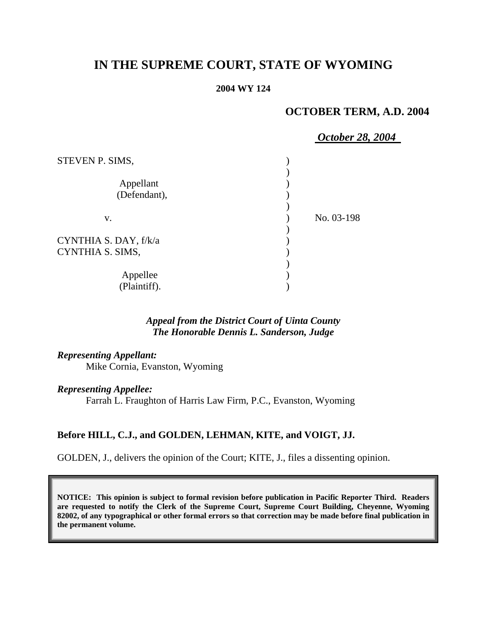## **IN THE SUPREME COURT, STATE OF WYOMING**

#### **2004 WY 124**

## **OCTOBER TERM, A.D. 2004**

## *October 28, 2004*

| STEVEN P. SIMS,                           |            |
|-------------------------------------------|------------|
| Appellant<br>(Defendant),                 |            |
| V.                                        | No. 03-198 |
| CYNTHIA S. DAY, f/k/a<br>CYNTHIA S. SIMS, |            |
| Appellee<br>(Plaintiff).                  |            |

#### *Appeal from the District Court of Uinta County The Honorable Dennis L. Sanderson, Judge*

# *Representing Appellant:*

Mike Cornia, Evanston, Wyoming

#### *Representing Appellee:*

Farrah L. Fraughton of Harris Law Firm, P.C., Evanston, Wyoming

#### **Before HILL, C.J., and GOLDEN, LEHMAN, KITE, and VOIGT, JJ.**

GOLDEN, J., delivers the opinion of the Court; KITE, J., files a dissenting opinion.

**NOTICE: This opinion is subject to formal revision before publication in Pacific Reporter Third. Readers are requested to notify the Clerk of the Supreme Court, Supreme Court Building, Cheyenne, Wyoming 82002, of any typographical or other formal errors so that correction may be made before final publication in the permanent volume.**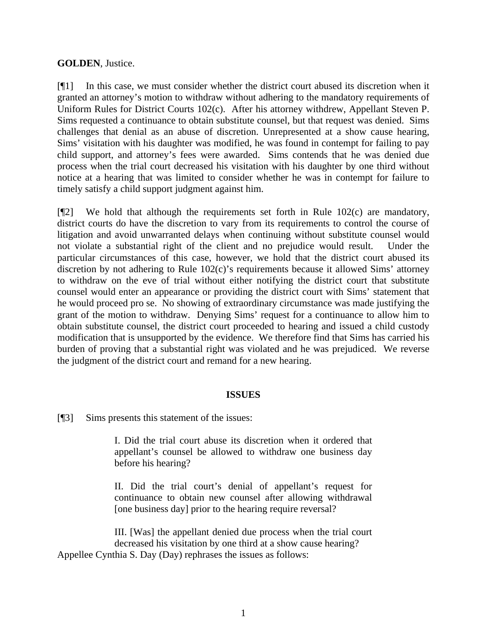#### **GOLDEN**, Justice.

[¶1] In this case, we must consider whether the district court abused its discretion when it granted an attorney's motion to withdraw without adhering to the mandatory requirements of Uniform Rules for District Courts 102(c). After his attorney withdrew, Appellant Steven P. Sims requested a continuance to obtain substitute counsel, but that request was denied. Sims challenges that denial as an abuse of discretion. Unrepresented at a show cause hearing, Sims' visitation with his daughter was modified, he was found in contempt for failing to pay child support, and attorney's fees were awarded. Sims contends that he was denied due process when the trial court decreased his visitation with his daughter by one third without notice at a hearing that was limited to consider whether he was in contempt for failure to timely satisfy a child support judgment against him.

 $[$ [2] We hold that although the requirements set forth in Rule 102(c) are mandatory, district courts do have the discretion to vary from its requirements to control the course of litigation and avoid unwarranted delays when continuing without substitute counsel would not violate a substantial right of the client and no prejudice would result. Under the particular circumstances of this case, however, we hold that the district court abused its discretion by not adhering to Rule 102(c)'s requirements because it allowed Sims' attorney to withdraw on the eve of trial without either notifying the district court that substitute counsel would enter an appearance or providing the district court with Sims' statement that he would proceed pro se. No showing of extraordinary circumstance was made justifying the grant of the motion to withdraw. Denying Sims' request for a continuance to allow him to obtain substitute counsel, the district court proceeded to hearing and issued a child custody modification that is unsupported by the evidence. We therefore find that Sims has carried his burden of proving that a substantial right was violated and he was prejudiced. We reverse the judgment of the district court and remand for a new hearing.

#### **ISSUES**

[¶3] Sims presents this statement of the issues:

I. Did the trial court abuse its discretion when it ordered that appellant's counsel be allowed to withdraw one business day before his hearing?

II. Did the trial court's denial of appellant's request for continuance to obtain new counsel after allowing withdrawal [one business day] prior to the hearing require reversal?

III. [Was] the appellant denied due process when the trial court decreased his visitation by one third at a show cause hearing? Appellee Cynthia S. Day (Day) rephrases the issues as follows: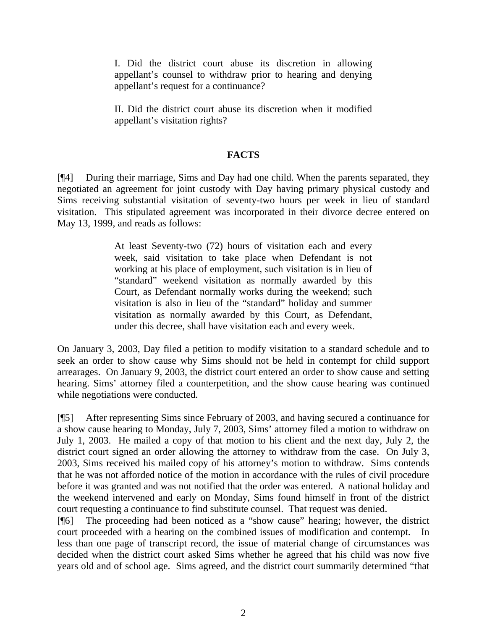I. Did the district court abuse its discretion in allowing appellant's counsel to withdraw prior to hearing and denying appellant's request for a continuance?

II. Did the district court abuse its discretion when it modified appellant's visitation rights?

#### **FACTS**

[¶4] During their marriage, Sims and Day had one child. When the parents separated, they negotiated an agreement for joint custody with Day having primary physical custody and Sims receiving substantial visitation of seventy-two hours per week in lieu of standard visitation. This stipulated agreement was incorporated in their divorce decree entered on May 13, 1999, and reads as follows:

> At least Seventy-two (72) hours of visitation each and every week, said visitation to take place when Defendant is not working at his place of employment, such visitation is in lieu of "standard" weekend visitation as normally awarded by this Court, as Defendant normally works during the weekend; such visitation is also in lieu of the "standard" holiday and summer visitation as normally awarded by this Court, as Defendant, under this decree, shall have visitation each and every week.

On January 3, 2003, Day filed a petition to modify visitation to a standard schedule and to seek an order to show cause why Sims should not be held in contempt for child support arrearages. On January 9, 2003, the district court entered an order to show cause and setting hearing. Sims' attorney filed a counterpetition, and the show cause hearing was continued while negotiations were conducted.

[¶5] After representing Sims since February of 2003, and having secured a continuance for a show cause hearing to Monday, July 7, 2003, Sims' attorney filed a motion to withdraw on July 1, 2003. He mailed a copy of that motion to his client and the next day, July 2, the district court signed an order allowing the attorney to withdraw from the case. On July 3, 2003, Sims received his mailed copy of his attorney's motion to withdraw. Sims contends that he was not afforded notice of the motion in accordance with the rules of civil procedure before it was granted and was not notified that the order was entered. A national holiday and the weekend intervened and early on Monday, Sims found himself in front of the district court requesting a continuance to find substitute counsel. That request was denied.

[¶6] The proceeding had been noticed as a "show cause" hearing; however, the district court proceeded with a hearing on the combined issues of modification and contempt. In less than one page of transcript record, the issue of material change of circumstances was decided when the district court asked Sims whether he agreed that his child was now five years old and of school age. Sims agreed, and the district court summarily determined "that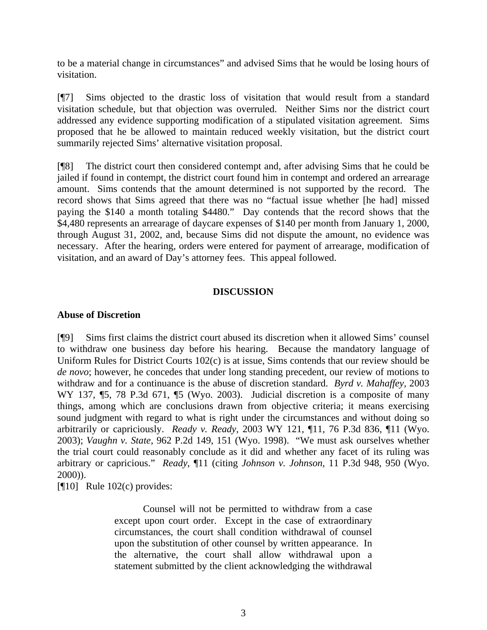to be a material change in circumstances" and advised Sims that he would be losing hours of visitation.

[¶7] Sims objected to the drastic loss of visitation that would result from a standard visitation schedule, but that objection was overruled. Neither Sims nor the district court addressed any evidence supporting modification of a stipulated visitation agreement. Sims proposed that he be allowed to maintain reduced weekly visitation, but the district court summarily rejected Sims' alternative visitation proposal.

[¶8] The district court then considered contempt and, after advising Sims that he could be jailed if found in contempt, the district court found him in contempt and ordered an arrearage amount. Sims contends that the amount determined is not supported by the record. The record shows that Sims agreed that there was no "factual issue whether [he had] missed paying the \$140 a month totaling \$4480." Day contends that the record shows that the \$4,480 represents an arrearage of daycare expenses of \$140 per month from January 1, 2000, through August 31, 2002, and, because Sims did not dispute the amount, no evidence was necessary. After the hearing, orders were entered for payment of arrearage, modification of visitation, and an award of Day's attorney fees. This appeal followed.

#### **DISCUSSION**

#### **Abuse of Discretion**

[¶9] Sims first claims the district court abused its discretion when it allowed Sims' counsel to withdraw one business day before his hearing. Because the mandatory language of Uniform Rules for District Courts 102(c) is at issue, Sims contends that our review should be *de novo*; however, he concedes that under long standing precedent, our review of motions to withdraw and for a continuance is the abuse of discretion standard. *Byrd v. Mahaffey,* 2003 WY 137, ¶5, 78 P.3d 671, ¶5 (Wyo. 2003). Judicial discretion is a composite of many things, among which are conclusions drawn from objective criteria; it means exercising sound judgment with regard to what is right under the circumstances and without doing so arbitrarily or capriciously. *Ready v. Ready,* 2003 WY 121, ¶11, 76 P.3d 836, ¶11 (Wyo. 2003); *Vaughn v. State*, 962 P.2d 149, 151 (Wyo. 1998). "We must ask ourselves whether the trial court could reasonably conclude as it did and whether any facet of its ruling was arbitrary or capricious." *Ready*, ¶11 (citing *Johnson v. Johnson*, 11 P.3d 948, 950 (Wyo. 2000)).

[¶10] Rule 102(c) provides:

Counsel will not be permitted to withdraw from a case except upon court order. Except in the case of extraordinary circumstances, the court shall condition withdrawal of counsel upon the substitution of other counsel by written appearance. In the alternative, the court shall allow withdrawal upon a statement submitted by the client acknowledging the withdrawal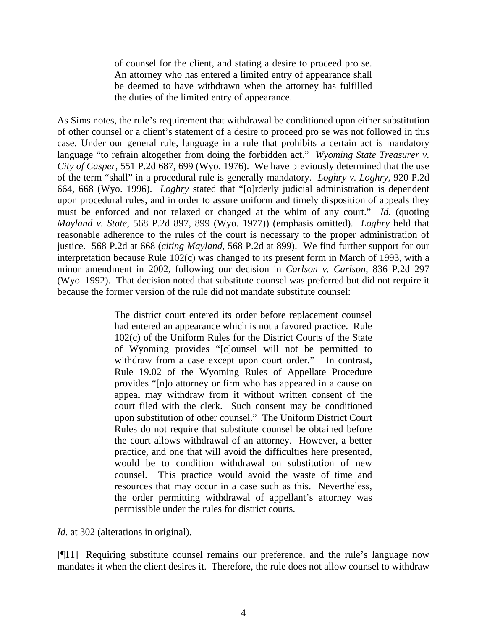of counsel for the client, and stating a desire to proceed pro se. An attorney who has entered a limited entry of appearance shall be deemed to have withdrawn when the attorney has fulfilled the duties of the limited entry of appearance.

As Sims notes, the rule's requirement that withdrawal be conditioned upon either substitution of other counsel or a client's statement of a desire to proceed pro se was not followed in this case. Under our general rule, language in a rule that prohibits a certain act is mandatory language "to refrain altogether from doing the forbidden act." *Wyoming State Treasurer v. City of Casper,* 551 P.2d 687, 699 (Wyo. 1976). We have previously determined that the use of the term "shall" in a procedural rule is generally mandatory. *Loghry v. Loghry,* 920 P.2d 664, 668 (Wyo. 1996). *Loghry* stated that "[o]rderly judicial administration is dependent upon procedural rules, and in order to assure uniform and timely disposition of appeals they must be enforced and not relaxed or changed at the whim of any court." *Id.* (quoting *Mayland v. State*, 568 P.2d 897, 899 (Wyo. 1977)) (emphasis omitted). *Loghry* held that reasonable adherence to the rules of the court is necessary to the proper administration of justice. 568 P.2d at 668 (*citing Mayland*, 568 P.2d at 899). We find further support for our interpretation because Rule 102(c) was changed to its present form in March of 1993, with a minor amendment in 2002, following our decision in *Carlson v. Carlson,* 836 P.2d 297 (Wyo. 1992). That decision noted that substitute counsel was preferred but did not require it because the former version of the rule did not mandate substitute counsel:

> The district court entered its order before replacement counsel had entered an appearance which is not a favored practice. Rule 102(c) of the Uniform Rules for the District Courts of the State of Wyoming provides "[c]ounsel will not be permitted to withdraw from a case except upon court order." In contrast, Rule 19.02 of the Wyoming Rules of Appellate Procedure provides "[n]o attorney or firm who has appeared in a cause on appeal may withdraw from it without written consent of the court filed with the clerk. Such consent may be conditioned upon substitution of other counsel." The Uniform District Court Rules do not require that substitute counsel be obtained before the court allows withdrawal of an attorney. However, a better practice, and one that will avoid the difficulties here presented, would be to condition withdrawal on substitution of new counsel. This practice would avoid the waste of time and resources that may occur in a case such as this. Nevertheless, the order permitting withdrawal of appellant's attorney was permissible under the rules for district courts.

*Id.* at 302 (alterations in original).

[¶11] Requiring substitute counsel remains our preference, and the rule's language now mandates it when the client desires it. Therefore, the rule does not allow counsel to withdraw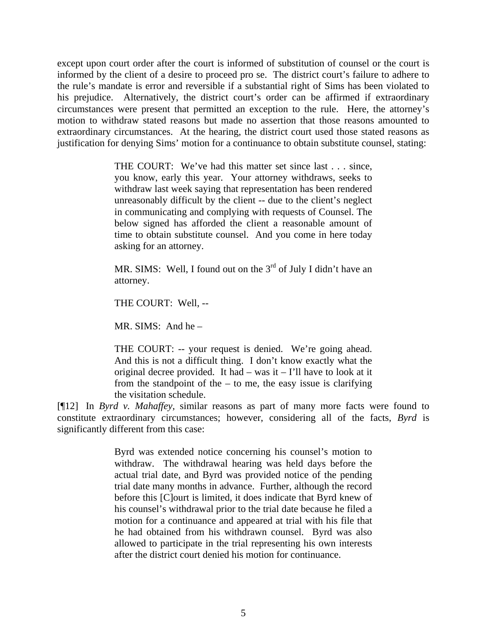except upon court order after the court is informed of substitution of counsel or the court is informed by the client of a desire to proceed pro se. The district court's failure to adhere to the rule's mandate is error and reversible if a substantial right of Sims has been violated to his prejudice. Alternatively, the district court's order can be affirmed if extraordinary circumstances were present that permitted an exception to the rule. Here, the attorney's motion to withdraw stated reasons but made no assertion that those reasons amounted to extraordinary circumstances. At the hearing, the district court used those stated reasons as justification for denying Sims' motion for a continuance to obtain substitute counsel, stating:

> THE COURT: We've had this matter set since last . . . since, you know, early this year. Your attorney withdraws, seeks to withdraw last week saying that representation has been rendered unreasonably difficult by the client -- due to the client's neglect in communicating and complying with requests of Counsel. The below signed has afforded the client a reasonable amount of time to obtain substitute counsel. And you come in here today asking for an attorney.

> MR. SIMS: Well, I found out on the  $3<sup>rd</sup>$  of July I didn't have an attorney.

THE COURT: Well, --

MR. SIMS: And he –

THE COURT: -- your request is denied. We're going ahead. And this is not a difficult thing. I don't know exactly what the original decree provided. It had  $-$  was it  $-$  I'll have to look at it from the standpoint of the  $-$  to me, the easy issue is clarifying the visitation schedule.

[¶12] In *Byrd v. Mahaffey,* similar reasons as part of many more facts were found to constitute extraordinary circumstances; however, considering all of the facts, *Byrd* is significantly different from this case:

> Byrd was extended notice concerning his counsel's motion to withdraw. The withdrawal hearing was held days before the actual trial date, and Byrd was provided notice of the pending trial date many months in advance. Further, although the record before this [C]ourt is limited, it does indicate that Byrd knew of his counsel's withdrawal prior to the trial date because he filed a motion for a continuance and appeared at trial with his file that he had obtained from his withdrawn counsel. Byrd was also allowed to participate in the trial representing his own interests after the district court denied his motion for continuance.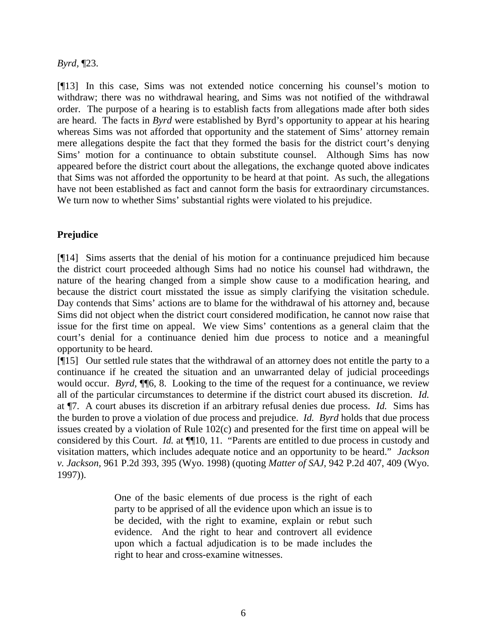*Byrd,* ¶23.

[¶13] In this case, Sims was not extended notice concerning his counsel's motion to withdraw; there was no withdrawal hearing, and Sims was not notified of the withdrawal order. The purpose of a hearing is to establish facts from allegations made after both sides are heard. The facts in *Byrd* were established by Byrd's opportunity to appear at his hearing whereas Sims was not afforded that opportunity and the statement of Sims' attorney remain mere allegations despite the fact that they formed the basis for the district court's denying Sims' motion for a continuance to obtain substitute counsel. Although Sims has now appeared before the district court about the allegations, the exchange quoted above indicates that Sims was not afforded the opportunity to be heard at that point. As such, the allegations have not been established as fact and cannot form the basis for extraordinary circumstances. We turn now to whether Sims' substantial rights were violated to his prejudice.

## **Prejudice**

[¶14] Sims asserts that the denial of his motion for a continuance prejudiced him because the district court proceeded although Sims had no notice his counsel had withdrawn, the nature of the hearing changed from a simple show cause to a modification hearing, and because the district court misstated the issue as simply clarifying the visitation schedule. Day contends that Sims' actions are to blame for the withdrawal of his attorney and, because Sims did not object when the district court considered modification, he cannot now raise that issue for the first time on appeal. We view Sims' contentions as a general claim that the court's denial for a continuance denied him due process to notice and a meaningful opportunity to be heard.

[¶15] Our settled rule states that the withdrawal of an attorney does not entitle the party to a continuance if he created the situation and an unwarranted delay of judicial proceedings would occur. *Byrd*,  $\P$ <sup> $\uparrow$ </sup><sup> $\uparrow$ </sup><sup> $\uparrow$ </sup>, 8. Looking to the time of the request for a continuance, we review all of the particular circumstances to determine if the district court abused its discretion. *Id.* at ¶7.A court abuses its discretion if an arbitrary refusal denies due process. *Id.* Sims has the burden to prove a violation of due process and prejudice. *Id. Byrd* holds that due process issues created by a violation of Rule 102(c) and presented for the first time on appeal will be considered by this Court. *Id.* at  $\P$ <sup>10</sup>, 11. "Parents are entitled to due process in custody and visitation matters, which includes adequate notice and an opportunity to be heard." *Jackson v. Jackson,* 961 P.2d 393, 395 (Wyo. 1998) (quoting *Matter of SAJ*, 942 P.2d 407, 409 (Wyo. 1997)).

> One of the basic elements of due process is the right of each party to be apprised of all the evidence upon which an issue is to be decided, with the right to examine, explain or rebut such evidence. And the right to hear and controvert all evidence upon which a factual adjudication is to be made includes the right to hear and cross-examine witnesses.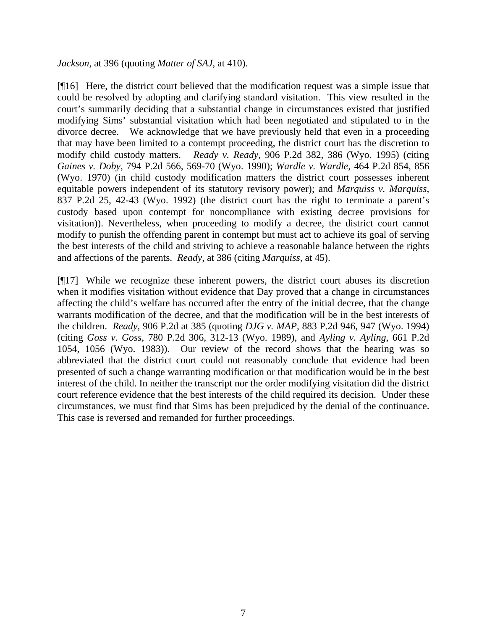*Jackson,* at 396 (quoting *Matter of SAJ*, at 410).

[¶16] Here, the district court believed that the modification request was a simple issue that could be resolved by adopting and clarifying standard visitation. This view resulted in the court's summarily deciding that a substantial change in circumstances existed that justified modifying Sims' substantial visitation which had been negotiated and stipulated to in the divorce decree. We acknowledge that we have previously held that even in a proceeding that may have been limited to a contempt proceeding, the district court has the discretion to modify child custody matters. *Ready v. Ready,* 906 P.2d 382, 386 (Wyo. 1995) (citing *Gaines v. Doby*, 794 P.2d 566, 569-70 (Wyo. 1990); *Wardle v. Wardle*, 464 P.2d 854, 856 (Wyo. 1970) (in child custody modification matters the district court possesses inherent equitable powers independent of its statutory revisory power); and *Marquiss v. Marquiss*, 837 P.2d 25, 42-43 (Wyo. 1992) (the district court has the right to terminate a parent's custody based upon contempt for noncompliance with existing decree provisions for visitation)). Nevertheless, when proceeding to modify a decree, the district court cannot modify to punish the offending parent in contempt but must act to achieve its goal of serving the best interests of the child and striving to achieve a reasonable balance between the rights and affections of the parents. *Ready*, at 386 (citing *Marquiss*, at 45).

[¶17] While we recognize these inherent powers, the district court abuses its discretion when it modifies visitation without evidence that Day proved that a change in circumstances affecting the child's welfare has occurred after the entry of the initial decree, that the change warrants modification of the decree, and that the modification will be in the best interests of the children. *Ready,* 906 P.2d at 385 (quoting *DJG v. MAP*, 883 P.2d 946, 947 (Wyo. 1994) (citing *Goss v. Goss*, 780 P.2d 306, 312-13 (Wyo. 1989), and *Ayling v. Ayling*, 661 P.2d 1054, 1056 (Wyo. 1983)). Our review of the record shows that the hearing was so abbreviated that the district court could not reasonably conclude that evidence had been presented of such a change warranting modification or that modification would be in the best interest of the child. In neither the transcript nor the order modifying visitation did the district court reference evidence that the best interests of the child required its decision. Under these circumstances, we must find that Sims has been prejudiced by the denial of the continuance. This case is reversed and remanded for further proceedings.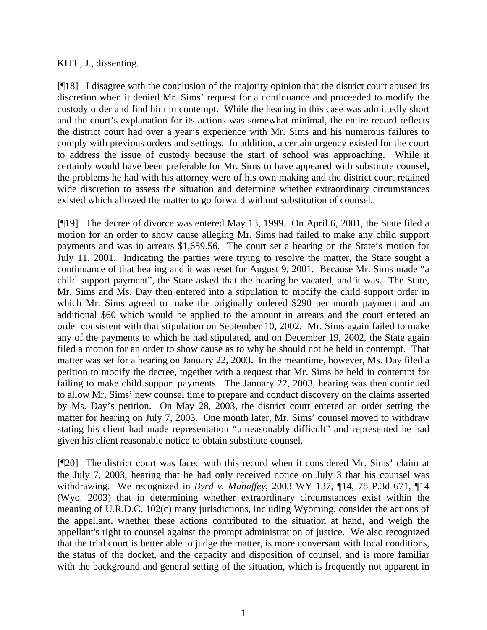#### KITE, J., dissenting.

[¶18] I disagree with the conclusion of the majority opinion that the district court abused its discretion when it denied Mr. Sims' request for a continuance and proceeded to modify the custody order and find him in contempt. While the hearing in this case was admittedly short and the court's explanation for its actions was somewhat minimal, the entire record reflects the district court had over a year's experience with Mr. Sims and his numerous failures to comply with previous orders and settings. In addition, a certain urgency existed for the court to address the issue of custody because the start of school was approaching. While it certainly would have been preferable for Mr. Sims to have appeared with substitute counsel, the problems he had with his attorney were of his own making and the district court retained wide discretion to assess the situation and determine whether extraordinary circumstances existed which allowed the matter to go forward without substitution of counsel.

[¶19] The decree of divorce was entered May 13, 1999. On April 6, 2001, the State filed a motion for an order to show cause alleging Mr. Sims had failed to make any child support payments and was in arrears \$1,659.56. The court set a hearing on the State's motion for July 11, 2001. Indicating the parties were trying to resolve the matter, the State sought a continuance of that hearing and it was reset for August 9, 2001. Because Mr. Sims made "a child support payment", the State asked that the hearing be vacated, and it was. The State, Mr. Sims and Ms. Day then entered into a stipulation to modify the child support order in which Mr. Sims agreed to make the originally ordered \$290 per month payment and an additional \$60 which would be applied to the amount in arrears and the court entered an order consistent with that stipulation on September 10, 2002. Mr. Sims again failed to make any of the payments to which he had stipulated, and on December 19, 2002, the State again filed a motion for an order to show cause as to why he should not be held in contempt. That matter was set for a hearing on January 22, 2003. In the meantime, however, Ms. Day filed a petition to modify the decree, together with a request that Mr. Sims be held in contempt for failing to make child support payments. The January 22, 2003, hearing was then continued to allow Mr. Sims' new counsel time to prepare and conduct discovery on the claims asserted by Ms. Day's petition. On May 28, 2003, the district court entered an order setting the matter for hearing on July 7, 2003. One month later, Mr. Sims' counsel moved to withdraw stating his client had made representation "unreasonably difficult" and represented he had given his client reasonable notice to obtain substitute counsel.

[¶20] The district court was faced with this record when it considered Mr. Sims' claim at the July 7, 2003, hearing that he had only received notice on July 3 that his counsel was withdrawing. We recognized in *Byrd v. Mahaffey*, 2003 WY 137, ¶14, 78 P.3d 671, ¶14 (Wyo. 2003) that in determining whether extraordinary circumstances exist within the meaning of U.R.D.C. 102(c) many jurisdictions, including Wyoming, consider the actions of the appellant, whether these actions contributed to the situation at hand, and weigh the appellant's right to counsel against the prompt administration of justice. We also recognized that the trial court is better able to judge the matter, is more conversant with local conditions, the status of the docket, and the capacity and disposition of counsel, and is more familiar with the background and general setting of the situation, which is frequently not apparent in